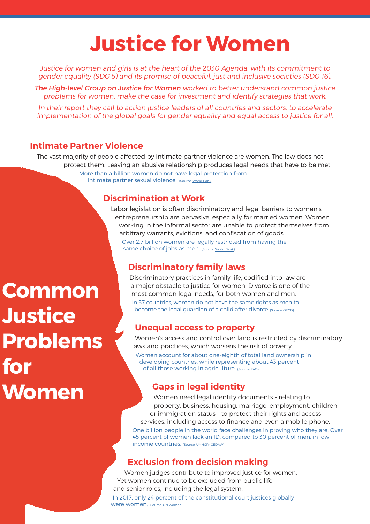# Justice for Women

Justice for women and girls is at the heart of the 2030 Agenda, with its commitment to gender equality (SDG 5) and its promise of peaceful, just and inclusive societies (SDG 16).

The High-level Group on Justice for Women worked to better understand common justice problems for women, make the case for investment and identify strategies that work.

In their report they call to action justice leaders of all countries and sectors, to accelerate implementation of the global goals for gender equality and equal access to justice for all.

### Intimate Partner Violence

The vast majority of people affected by intimate partner violence are women. The law does not protect them. Leaving an abusive relationship produces legal needs that have to be met. More than a billion women do not have legal protection from intimate partner sexual violence. *[Source: [World Bank](https://www.worldbank.org/en/news/press-release/2018/02/01/more-than-1-billion-women-lack-legal-protection-against-domestic-sexual-violence-finds-world-bank-study)]* 

### Discrimination at Work

Labor legislation is often discriminatory and legal barriers to women's entrepreneurship are pervasive, especially for married women. Women working in the informal sector are unable to protect themselves from arbitrary warrants, evictions, and confiscation of goods. Over 2.7 billion women are legally restricted from having the same choice of jobs as men. (Source: [World Bank](https://openknowledge.worldbank.org/bitstream/handle/10986/31327/WBL2019.pdf))

## Discriminatory family laws

Discriminatory practices in family life, codified into law are a major obstacle to justice for women. Divorce is one of the most common legal needs, for both women and men. In 57 countries, women do not have the same rights as men to become the legal guardian of a child after divorce. (Source: [OECD](https://data.oecd.org/inequality/discriminatory-family-code.htm))

### Unequal access to property

Women's access and control over land is restricted by discriminatory laws and practices, which worsens the risk of poverty.

Women account for about one-eighth of total land ownership in developing countries, while representing about 43 percent of all those working in agriculture. [Source: FAO]

## Gaps in legal identity

Women need legal identity documents - relating to property, business, housing, marriage, employment, children or immigration status - to protect their rights and access services, including access to finance and even a mobile phone.

One billion people in the world face challenges in proving who they are. Over 45 percent of women lack an ID, compared to 30 percent of men, in low income countries. {Source: [UNHCR- CEDAW](https://blogs.worldbank.org/voices/global-identification-challenge-who-are-1-billion-people-without-proof-identity)}

## Exclusion from decision making

Women judges contribute to improved justice for women. Yet women continue to be excluded from public life and senior roles, including the legal system. In 2017, only 24 percent of the constitutional court justices globally Were Women. {Source: [UN Women](https://wbl.worldbank.org/)}

# **Common Justice** Problems for Women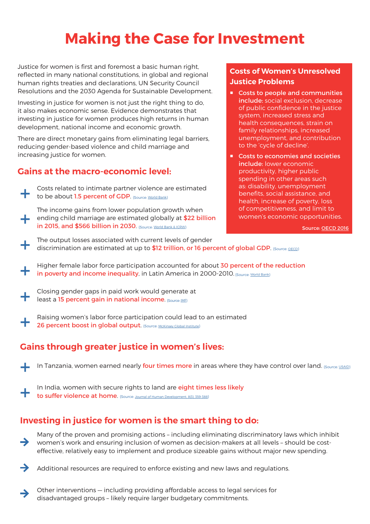# Making the Case for Investment

Justice for women is first and foremost a basic human right, reflected in many national constitutions, in global and regional human rights treaties and declarations, UN Security Council Resolutions and the 2030 Agenda for Sustainable Development.

Investing in justice for women is not just the right thing to do, it also makes economic sense. Evidence demonstrates that investing in justice for women produces high returns in human development, national income and economic growth.

There are direct monetary gains from eliminating legal barriers, reducing gender-based violence and child marriage and increasing justice for women.

# Gains at the macro-economic level:

+

Costs related to intimate partner violence are estimated to be about 1.5 percent of GDP. {Source: [World Bank](http://documents.worldbank.org/curated/en/2013/11/18486239/intimate-partner-violence-economic-costs-implications-growth-development)}

The income gains from lower population growth when ending child marriage are estimated globally at \$22 billion in 2015, and \$566 billion in 2030. (Source: World Bank & ICRW)

### Costs of Women's Unresolved Justice Problems

- Costs to people and communities include: social exclusion, decrease of public confidence in the justice system, increased stress and health consequences, strain on family relationships, increased unemployment, and contribution to the 'cycle of decline'.
- Costs to economies and societies include: lower economic productivity, higher public spending in other areas such as: disability, unemployment benefits, social assistance, and health, increase of poverty, loss of competitiveness, and limit to women's economic opportunities.

Source: [OECD 2016](http://www.oecd.org/gov/Understanding-effective-access-justice-workshop-paper-final.pdf)

The output losses associated with current levels of gender<br>discrimination are estimated at up to \$12 trillion, or 16 per discrimination are estimated at up to \$12 trillion, or 16 percent of global GDP. {Source: <u>[OECD](https://www.oecd-ilibrary.org/development/does-gender-discrimination-in-social-institutions-matter-for-long-term-growth_5jm2hz8dgls6-en)}</u>

Higher female labor force participation accounted for about 30 percent of the reduction in poverty and income inequality, in Latin America in 2000-2010. (Source: [World Bank](https://openknowledge.worldbank.org/bitstream/handle/10986/11867/9780821397701.pdf?sequence=1))

Closing gender gaps in paid work would generate at<br>least a 15 percent gain in national income. (Source: <u>IME)</u> least a 15 percent gain in national income. [Source: IME]

Raising women's labor force participation could lead to an estimated 26 percent boost in global output. (Source: [McKinsey Global Institute](https://www.mckinsey.com/~/media/McKinsey/Featured%20Insights/Employment%20and%20Growth/How%20advancing%20womens%20equality%20can%20add%2012%20trillion%20to%20global%20growth/MGI%20Power%20of%20parity_Full%20report_September%202015.ashx))

# Gains through greater justice in women's lives:

In Tanzania, women earned nearly four times more in areas where they have control over land. (Source: [USAID](http://www.thisisplace.org/i/?id=a7fb5abc-627b-4874-80b1-9e943f493487))

In India, women with secure rights to land are eight times less likely to suffer violence at home. (Source: [Journal of Human Development, 8\(3\), 359-388](https://www.amherst.edu/media/view/92357/original/Marial%2BViolence%252C%2BHuman%2BDevelopment%2Band%2BWomen%2527s%2BProperty%2BStatus.pdf)}

# Investing in justice for women is the smart thing to do:

Many of the proven and promising actions – including eliminating discriminatory laws which inhibit  $\rightarrow$ women's work and ensuring inclusion of women as decision-makers at all levels – should be costeffective, relatively easy to implement and produce sizeable gains without major new spending.



Other interventions — including providing affordable access to legal services for disadvantaged groups – likely require larger budgetary commitments.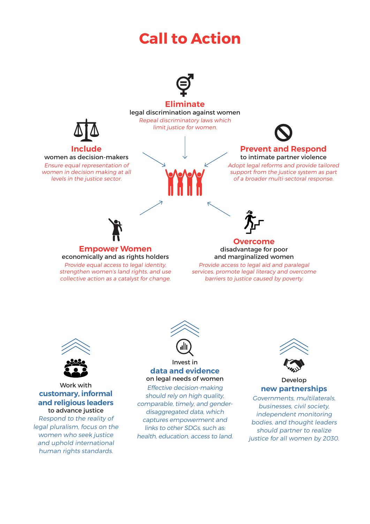# Call to Action



### Eliminate

### legal discrimination against women Repeal discriminatory laws which

limit justice for women.



#### Prevent and Respond to intimate partner violence

Adopt legal reforms and provide tailored support from the justice system as part of a broader multi-sectoral response.



Include women as decision-makers Ensure equal representation of women in decision making at all levels in the justice sector.

> Provide equal access to legal identity, strengthen women's land rights, and use collective action as a catalyst for change.



### Overcome

disadvantage for poor and marginalized women

Provide access to legal aid and paralegal services, promote legal literacy and overcome barriers to justice caused by poverty.



### Work with customary, informal and religious leaders to advance justice

Respond to the reality of legal pluralism, focus on the women who seek justice and uphold international human rights standards.



#### Invest in data and evidence on legal needs of women

Effective decision-making should rely on high quality, comparable, timely, and genderdisaggregated data, which captures empowerment and links to other SDGs, such as: health, education, access to land.



### Develop new partnerships

Governments, multilaterals, businesses, civil society, independent monitoring bodies, and thought leaders should partner to realize justice for all women by 2030.